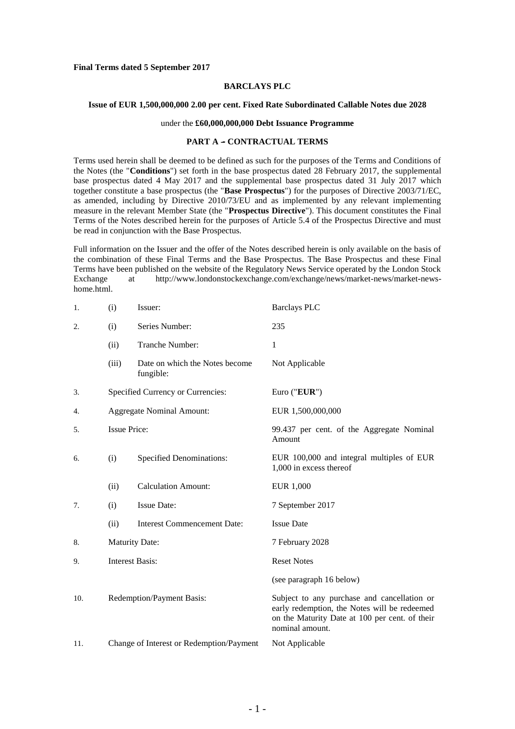#### **Final Terms dated 5 September 2017**

# **BARCLAYS PLC**

#### **Issue of EUR 1,500,000,000 2.00 per cent. Fixed Rate Subordinated Callable Notes due 2028**

#### under the **£60,000,000,000 Debt Issuance Programme**

#### **PART A - CONTRACTUAL TERMS**

 Terms used herein shall be deemed to be defined as such for the purposes of the Terms and Conditions of the Notes (the "**Conditions**") set forth in the base prospectus dated 28 February 2017, the supplemental base prospectus dated 4 May 2017 and the supplemental base prospectus dated 31 July 2017 which together constitute a base prospectus (the "**Base Prospectus**") for the purposes of Directive 2003/71/EC, as amended, including by Directive 2010/73/EU and as implemented by any relevant implementing measure in the relevant Member State (the "**Prospectus Directive**"). This document constitutes the Final Terms of the Notes described herein for the purposes of Article 5.4 of the Prospectus Directive and must be read in conjunction with the Base Prospectus.

 Full information on the Issuer and the offer of the Notes described herein is only available on the basis of the combination of these Final Terms and the Base Prospectus. The Base Prospectus and these Final Terms have been published on the website of the Regulatory News Service operated by the London Stock Exchange at <http://www.londonstockexchange.com/exchange/news/market-news/market-news>home.html.

| (i)                               | Issuer:                                     | <b>Barclays PLC</b>                                                                                                                                              |
|-----------------------------------|---------------------------------------------|------------------------------------------------------------------------------------------------------------------------------------------------------------------|
| (i)                               | Series Number:                              | 235                                                                                                                                                              |
| (ii)                              | Tranche Number:                             | 1                                                                                                                                                                |
| (iii)                             | Date on which the Notes become<br>fungible: | Not Applicable                                                                                                                                                   |
| Specified Currency or Currencies: |                                             | Euro ("EUR")                                                                                                                                                     |
| <b>Aggregate Nominal Amount:</b>  |                                             | EUR 1,500,000,000                                                                                                                                                |
| <b>Issue Price:</b>               |                                             | 99.437 per cent. of the Aggregate Nominal<br>Amount                                                                                                              |
| (i)                               | <b>Specified Denominations:</b>             | EUR 100,000 and integral multiples of EUR<br>1,000 in excess thereof                                                                                             |
| (ii)                              | <b>Calculation Amount:</b>                  | EUR 1,000                                                                                                                                                        |
| (i)                               | <b>Issue Date:</b>                          | 7 September 2017                                                                                                                                                 |
| (ii)                              | <b>Interest Commencement Date:</b>          | <b>Issue Date</b>                                                                                                                                                |
| <b>Maturity Date:</b>             |                                             | 7 February 2028                                                                                                                                                  |
| <b>Interest Basis:</b>            |                                             | <b>Reset Notes</b>                                                                                                                                               |
|                                   |                                             | (see paragraph 16 below)                                                                                                                                         |
| Redemption/Payment Basis:         |                                             | Subject to any purchase and cancellation or<br>early redemption, the Notes will be redeemed<br>on the Maturity Date at 100 per cent. of their<br>nominal amount. |
|                                   |                                             | Not Applicable                                                                                                                                                   |
|                                   |                                             | Change of Interest or Redemption/Payment                                                                                                                         |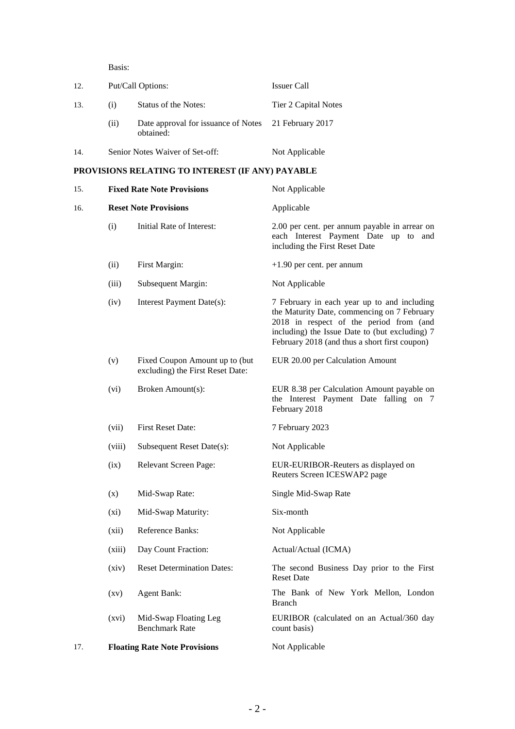Basis:

| 12. | Put/Call Options:                 |                                                                   | <b>Issuer Call</b>                                                                                                      |
|-----|-----------------------------------|-------------------------------------------------------------------|-------------------------------------------------------------------------------------------------------------------------|
| 13. | (i)                               | Status of the Notes:                                              | Tier 2 Capital Notes                                                                                                    |
|     | (ii)                              | Date approval for issuance of Notes 21 February 2017<br>obtained: |                                                                                                                         |
| 14. | Senior Notes Waiver of Set-off:   |                                                                   | Not Applicable                                                                                                          |
|     |                                   | PROVISIONS RELATING TO INTEREST (IF ANY) PAYABLE                  |                                                                                                                         |
| 15. | <b>Fixed Rate Note Provisions</b> |                                                                   | Not Applicable                                                                                                          |
| 16. | <b>Reset Note Provisions</b>      |                                                                   | Applicable                                                                                                              |
|     | (i)                               | Initial Rate of Interest:                                         | 2.00 per cent. per annum payable in arrear on<br>each Interest Payment Date up to and<br>including the First Reset Date |

- (ii) First Margin:  $+1.90$  per cent. per annum
- (iii) Subsequent Margin: Not Applicable
- (iv) Interest Payment Date(s): 7 February in each year up to and including the Maturity Date, commencing on 7 February 2018 in respect of the period from (and
- EUR 20.00 per Calculation Amount (v) Fixed Coupon Amount up to (but excluding) the First Reset Date:
- (vi) Broken Amount(s): EUR 8.38 per Calculation Amount payable on the Interest Payment Date falling on 7
- (vii) First Reset Date: 7 February 2023
- (viii) Subsequent Reset Date(s): Not Applicable
- 
- (x) Mid-Swap Rate: Single Mid-Swap Rate
- (xi) Mid-Swap Maturity: Six-month
- (xii) Reference Banks: Not Applicable
- (xiii) Day Count Fraction: Actual/Actual (ICMA)
- 
- 
- Mid-Swap Floating Leg Benchmark Rate count basis)
- 17. **Floating Rate Note Provisions** Not Applicable

February 2018

- 
- (ix) Relevant Screen Page: EUR-EURIBOR-Reuters as displayed on Reuters Screen ICESWAP2 page

February 2018 (and thus a short first coupon)

including) the Issue Date to (but excluding) 7

- 
- 
- -

 (xiv) Reset Determination Dates: The second Business Day prior to the First Reset Date

 (xv) Agent Bank: The Bank of New York Mellon, London Branch

(xvi) Mid-Swap Floating Leg EURIBOR (calculated on an Actual/360 day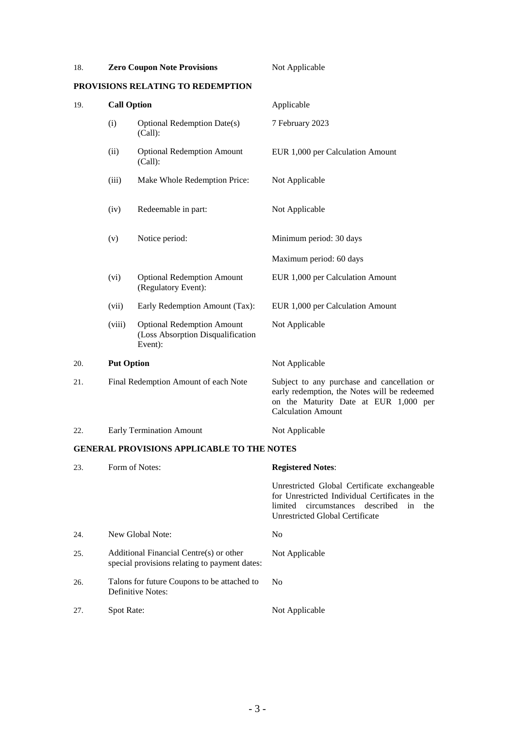| 18. |                                      | <b>Zero Coupon Note Provisions</b>                                                | Not Applicable                                                                                                                                                                     |
|-----|--------------------------------------|-----------------------------------------------------------------------------------|------------------------------------------------------------------------------------------------------------------------------------------------------------------------------------|
|     |                                      | PROVISIONS RELATING TO REDEMPTION                                                 |                                                                                                                                                                                    |
| 19. | <b>Call Option</b>                   |                                                                                   | Applicable                                                                                                                                                                         |
|     | (i)                                  | <b>Optional Redemption Date(s)</b><br>(Call):                                     | 7 February 2023                                                                                                                                                                    |
|     | (ii)                                 | <b>Optional Redemption Amount</b><br>(Call):                                      | EUR 1,000 per Calculation Amount                                                                                                                                                   |
|     | (iii)                                | Make Whole Redemption Price:                                                      | Not Applicable                                                                                                                                                                     |
|     | (iv)                                 | Redeemable in part:                                                               | Not Applicable                                                                                                                                                                     |
|     | (v)                                  | Notice period:                                                                    | Minimum period: 30 days                                                                                                                                                            |
|     |                                      |                                                                                   | Maximum period: 60 days                                                                                                                                                            |
|     | (vi)                                 | <b>Optional Redemption Amount</b><br>(Regulatory Event):                          | EUR 1,000 per Calculation Amount                                                                                                                                                   |
|     | (vii)                                | Early Redemption Amount (Tax):                                                    | EUR 1,000 per Calculation Amount                                                                                                                                                   |
|     | (viii)                               | <b>Optional Redemption Amount</b><br>(Loss Absorption Disqualification<br>Event): | Not Applicable                                                                                                                                                                     |
| 20. | <b>Put Option</b>                    |                                                                                   | Not Applicable                                                                                                                                                                     |
| 21. | Final Redemption Amount of each Note |                                                                                   | Subject to any purchase and cancellation or<br>early redemption, the Notes will be redeemed<br>on the Maturity Date at EUR 1,000 per<br><b>Calculation Amount</b>                  |
| 22. | <b>Early Termination Amount</b>      |                                                                                   | Not Applicable                                                                                                                                                                     |
|     |                                      | <b>GENERAL PROVISIONS APPLICABLE TO THE NOTES</b>                                 |                                                                                                                                                                                    |
| 23. |                                      | Form of Notes:                                                                    | <b>Registered Notes:</b>                                                                                                                                                           |
|     |                                      |                                                                                   | Unrestricted Global Certificate exchangeable<br>for Unrestricted Individual Certificates in the<br>limited circumstances described<br>in<br>the<br>Unrestricted Global Certificate |
| 24. |                                      | New Global Note:                                                                  | N <sub>o</sub>                                                                                                                                                                     |

- special provisions relating to payment dates: 26. Talons for future Coupons to be attached to No Definitive Notes:
- 27. Spot Rate: Not Applicable

25. Additional Financial Centre(s) or other Not Applicable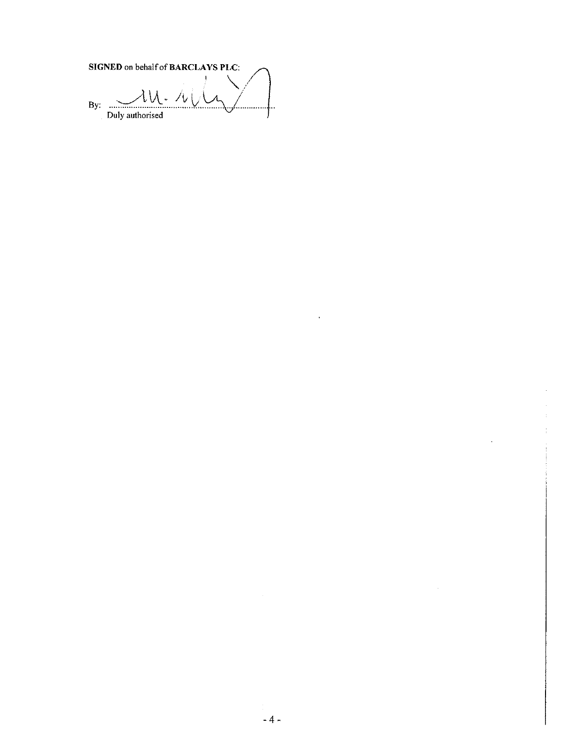SIGNED on behalf of BARCLAYS PLC:  $\lambda\overline{\lambda}$  $\mathbf{r}$ ノ  $By:$ . . . . . . Duly authorised

 $\sim$ 

ï

 $\overline{\phantom{a}}$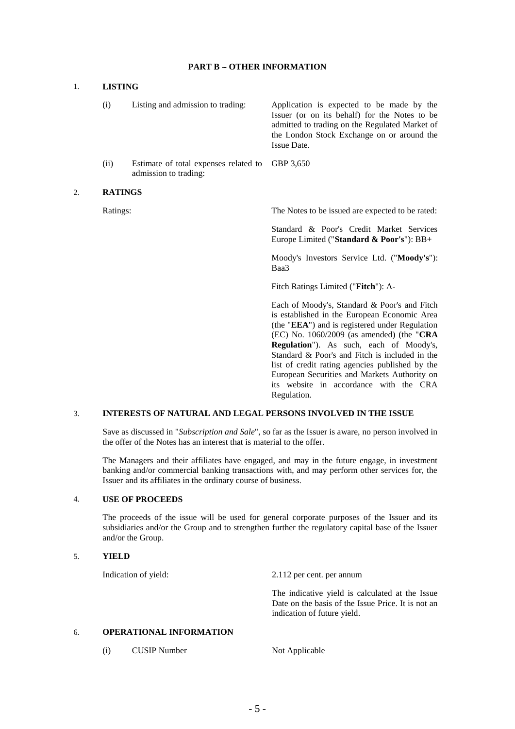### **PART B - OTHER INFORMATION**

### 1. **LISTING**

- Listing and admission to trading: Issuer (or on its behalf) for the Notes to be admitted to trading on the Regulated Market of the London Stock Exchange on or around the (i) Listing and admission to trading: Application is expected to be made by the Issue Date.
- (ii) Estimate of total expenses related to GBP 3,650 admission to trading:

#### 2. **RATINGS**

Ratings: The Notes to be issued are expected to be rated:

 Standard & Poor's Credit Market Services Europe Limited ("**Standard & Poor's**"): BB+

 Moody's Investors Service Ltd. ("**Moody's**"): Baa3

Fitch Ratings Limited ("**Fitch**"): A-

 Each of Moody's, Standard & Poor's and Fitch is established in the European Economic Area (the "**EEA**") and is registered under Regulation (EC) No. 1060/2009 (as amended) (the "**CRA Regulation**"). As such, each of Moody's, Standard & Poor's and Fitch is included in the list of credit rating agencies published by the European Securities and Markets Authority on its website in accordance with the CRA Regulation.

# 3. **INTERESTS OF NATURAL AND LEGAL PERSONS INVOLVED IN THE ISSUE**

 Save as discussed in "*Subscription and Sale*", so far as the Issuer is aware, no person involved in the offer of the Notes has an interest that is material to the offer.

 The Managers and their affiliates have engaged, and may in the future engage, in investment banking and/or commercial banking transactions with, and may perform other services for, the Issuer and its affiliates in the ordinary course of business.

#### 4. **USE OF PROCEEDS**

 The proceeds of the issue will be used for general corporate purposes of the Issuer and its subsidiaries and/or the Group and to strengthen further the regulatory capital base of the Issuer and/or the Group.

#### 5. **YIELD**

Indication of yield:

2.112 per cent. per annum

 The indicative yield is calculated at the Issue Date on the basis of the Issue Price. It is not an indication of future yield.

## 6. **OPERATIONAL INFORMATION**

(i) CUSIP Number Not Applicable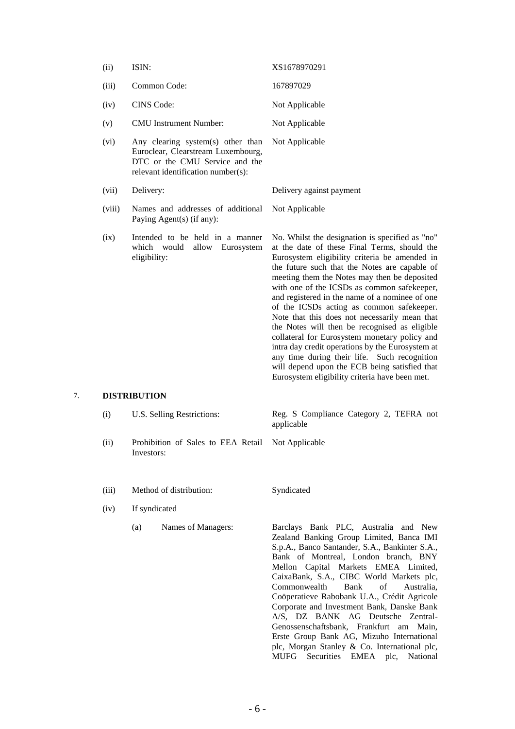| (ii)   | ISIN:                                                                                                                                           | XS1678970291                                                                                                                                                                                                                                                                                                                                                                                                                                                                                                                                                                                                                                                                                                                                              |
|--------|-------------------------------------------------------------------------------------------------------------------------------------------------|-----------------------------------------------------------------------------------------------------------------------------------------------------------------------------------------------------------------------------------------------------------------------------------------------------------------------------------------------------------------------------------------------------------------------------------------------------------------------------------------------------------------------------------------------------------------------------------------------------------------------------------------------------------------------------------------------------------------------------------------------------------|
| (iii)  | Common Code:                                                                                                                                    | 167897029                                                                                                                                                                                                                                                                                                                                                                                                                                                                                                                                                                                                                                                                                                                                                 |
| (iv)   | <b>CINS</b> Code:                                                                                                                               | Not Applicable                                                                                                                                                                                                                                                                                                                                                                                                                                                                                                                                                                                                                                                                                                                                            |
| (v)    | <b>CMU</b> Instrument Number:                                                                                                                   | Not Applicable                                                                                                                                                                                                                                                                                                                                                                                                                                                                                                                                                                                                                                                                                                                                            |
| (vi)   | Any clearing system(s) other than<br>Euroclear, Clearstream Luxembourg,<br>DTC or the CMU Service and the<br>relevant identification number(s): | Not Applicable                                                                                                                                                                                                                                                                                                                                                                                                                                                                                                                                                                                                                                                                                                                                            |
| (vii)  | Delivery:                                                                                                                                       | Delivery against payment                                                                                                                                                                                                                                                                                                                                                                                                                                                                                                                                                                                                                                                                                                                                  |
| (viii) | Names and addresses of additional<br>Paying Agent(s) (if any):                                                                                  | Not Applicable                                                                                                                                                                                                                                                                                                                                                                                                                                                                                                                                                                                                                                                                                                                                            |
| (ix)   | Intended to be held in a manner<br>which would<br>allow Eurosystem<br>eligibility:                                                              | No. Whilst the designation is specified as "no"<br>at the date of these Final Terms, should the<br>Eurosystem eligibility criteria be amended in<br>the future such that the Notes are capable of<br>meeting them the Notes may then be deposited<br>with one of the ICSDs as common safekeeper,<br>and registered in the name of a nominee of one<br>of the ICSDs acting as common safekeeper.<br>Note that this does not necessarily mean that<br>the Notes will then be recognised as eligible<br>collateral for Eurosystem monetary policy and<br>intra day credit operations by the Eurosystem at<br>any time during their life. Such recognition<br>will depend upon the ECB being satisfied that<br>Eurosystem eligibility criteria have been met. |

# 7. **DISTRIBUTION**

| (i)  | U.S. Selling Restrictions:                        | Reg. S Compliance Category 2, TEFRA not<br>applicable |
|------|---------------------------------------------------|-------------------------------------------------------|
| (ii) | Probibition of Sales to FFA Retail Not Applicable |                                                       |

- (ii) Prohibition of Sales to EEA Retail Not Applicable Investors:
- (iii) Method of distribution: Syndicated

(iv) If syndicated

(a) Names of Managers: Barclays Bank PLC, Australia and New

 Zealand Banking Group Limited, Banca IMI S.p.A., Banco Santander, S.A., Bankinter S.A., Bank of Montreal, London branch, BNY Mellon Capital Markets EMEA Limited, CaixaBank, S.A., CIBC World Markets plc, Commonwealth Bank of Australia, Corporate and Investment Bank, Danske Bank A/S, DZ BANK AG Deutsche Zentral- Genossenschaftsbank, Frankfurt am Main, Erste Group Bank AG, Mizuho International plc, Morgan Stanley & Co. International plc, Coöperatieve Rabobank U.A., Crédit Agricole MUFG Securities EMEA plc, National